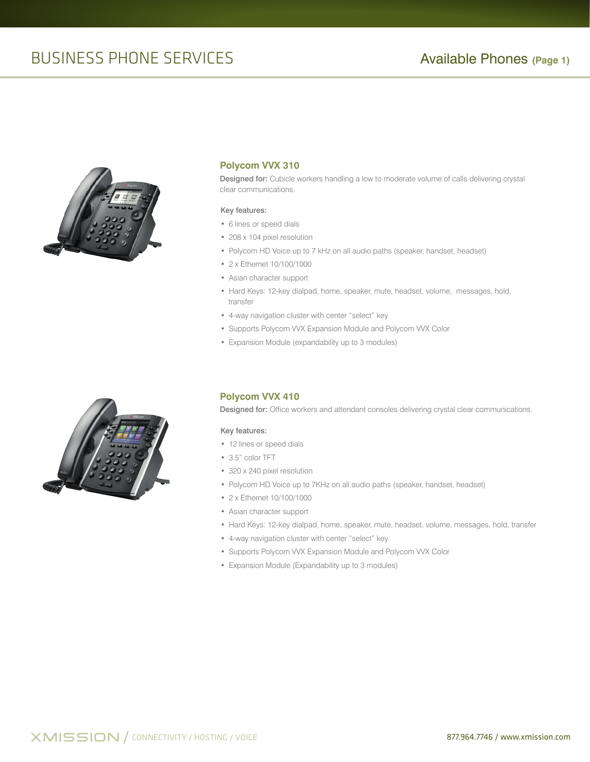# BUSINESS PHONE SERVICES **Available Phones** (Page 1)



## **Polycom VVX 310**

Designed for: Cubicle workers handling a low to moderate volume of calls delivering crystal clear communications.

#### Key features:

- 6 lines or speed dials
- 208 x 104 pixel resolution
- Polycom HD Voice up to 7 kHz on all audio paths (speaker, handset, headset)
- 2 x Ethernet 10/100/1000
- Asian character support
- Hard Keys: 12-key dialpad, home, speaker, mute, headset, volume, messages, hold, transfer
- 4-way navigation cluster with center "select" key
- Supports Polycom VVX Expansion Module and Polycom VVX Color
- Expansion Module (expandability up to 3 modules)



## **Polycom VVX 410**

Designed for: Office workers and attendant consoles delivering crystal clear communications.

#### Key features:

- 12 lines or speed dials
- 3.5" color TFT
- 320 x 240 pixel resolution
- Polycom HD Voice up to 7KHz on all audio paths (speaker, handset, headset)
- 2 x Ethernet 10/100/1000
- Asian character support
- Hard Keys: 12-key dialpad, home, speaker, mute, headset, volume, messages, hold, transfer
- 4-way navigation cluster with center "select" key
- Supports Polycom VVX Expansion Module and Polycom VVX Color
- Expansion Module (Expandability up to 3 modules)